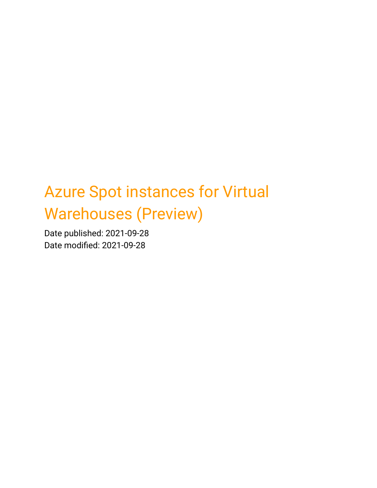# Azure Spot instances for Virtual Warehouses (Preview)

Date published: 2021-09-28 Date modified: 2021-09-28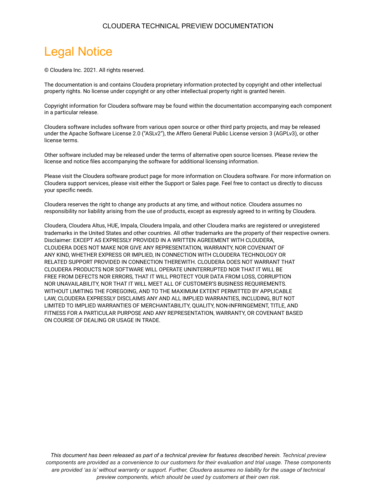#### CLOUDERA TECHNICAL PREVIEW DOCUMENTATION

# <span id="page-1-0"></span>Legal Notice

© Cloudera Inc. 2021. All rights reserved.

The documentation is and contains Cloudera proprietary information protected by copyright and other intellectual property rights. No license under copyright or any other intellectual property right is granted herein.

Copyright information for Cloudera software may be found within the documentation accompanying each component in a particular release.

Cloudera software includes software from various open source or other third party projects, and may be released under the Apache Software License 2.0 ("ASLv2"), the Affero General Public License version 3 (AGPLv3), or other license terms.

Other software included may be released under the terms of alternative open source licenses. Please review the license and notice files accompanying the software for additional licensing information.

Please visit the Cloudera software product page for more information on Cloudera software. For more information on Cloudera support services, please visit either the Support or Sales page. Feel free to contact us directly to discuss your specific needs.

Cloudera reserves the right to change any products at any time, and without notice. Cloudera assumes no responsibility nor liability arising from the use of products, except as expressly agreed to in writing by Cloudera.

Cloudera, Cloudera Altus, HUE, Impala, Cloudera Impala, and other Cloudera marks are registered or unregistered trademarks in the United States and other countries. All other trademarks are the property of their respective owners. Disclaimer: EXCEPT AS EXPRESSLY PROVIDED IN A WRITTEN AGREEMENT WITH CLOUDERA, CLOUDERA DOES NOT MAKE NOR GIVE ANY REPRESENTATION, WARRANTY, NOR COVENANT OF ANY KIND, WHETHER EXPRESS OR IMPLIED, IN CONNECTION WITH CLOUDERA TECHNOLOGY OR RELATED SUPPORT PROVIDED IN CONNECTION THEREWITH. CLOUDERA DOES NOT WARRANT THAT CLOUDERA PRODUCTS NOR SOFTWARE WILL OPERATE UNINTERRUPTED NOR THAT IT WILL BE FREE FROM DEFECTS NOR ERRORS, THAT IT WILL PROTECT YOUR DATA FROM LOSS, CORRUPTION NOR UNAVAILABILITY, NOR THAT IT WILL MEET ALL OF CUSTOMER'S BUSINESS REQUIREMENTS. WITHOUT LIMITING THE FOREGOING, AND TO THE MAXIMUM EXTENT PERMITTED BY APPLICABLE LAW, CLOUDERA EXPRESSLY DISCLAIMS ANY AND ALL IMPLIED WARRANTIES, INCLUDING, BUT NOT LIMITED TO IMPLIED WARRANTIES OF MERCHANTABILITY, QUALITY, NON-INFRINGEMENT, TITLE, AND FITNESS FOR A PARTICULAR PURPOSE AND ANY REPRESENTATION, WARRANTY, OR COVENANT BASED ON COURSE OF DEALING OR USAGE IN TRADE.

*This document has been released as part of a technical preview for features described herein. Technical preview components are provided as a convenience to our customers for their evaluation and trial usage. These components are provided 'as is' without warranty or support. Further, Cloudera assumes no liability for the usage of technical preview components, which should be used by customers at their own risk.*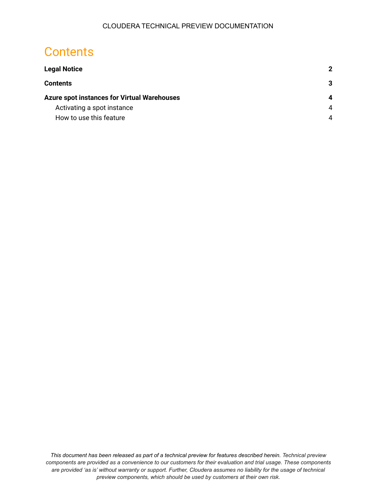## <span id="page-2-0"></span>**Contents**

| <b>Legal Notice</b>                                | $\mathbf{2}$ |
|----------------------------------------------------|--------------|
| <b>Contents</b>                                    | 3            |
| <b>Azure spot instances for Virtual Warehouses</b> | 4            |
| Activating a spot instance                         | 4            |
| How to use this feature                            | 4            |

*This document has been released as part of a technical preview for features described herein. Technical preview components are provided as a convenience to our customers for their evaluation and trial usage. These components are provided 'as is' without warranty or support. Further, Cloudera assumes no liability for the usage of technical preview components, which should be used by customers at their own risk.*